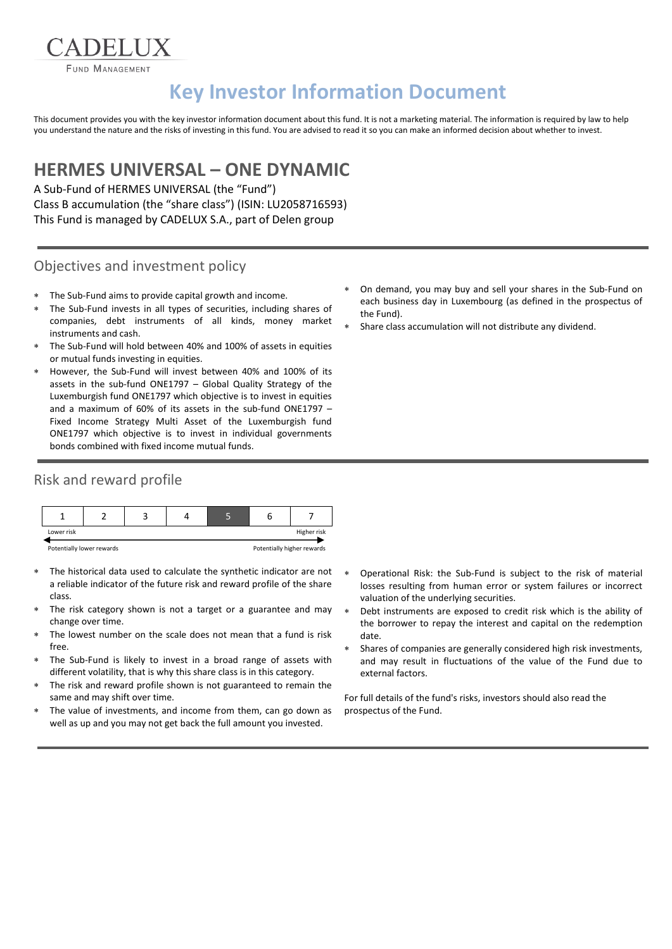CADELUX FUND MANAGEMENT

# **Key Investor Information Document**

This document provides you with the key investor information document about this fund. It is not a marketing material. The information is required by law to help you understand the nature and the risks of investing in this fund. You are advised to read it so you can make an informed decision about whether to invest.

# **HERMES UNIVERSAL – ONE DYNAMIC**

A Sub-Fund of HERMES UNIVERSAL (the "Fund") Class B accumulation (the "share class") (ISIN: LU2058716593) This Fund is managed by CADELUX S.A., part of Delen group

### Objectives and investment policy

- The Sub-Fund aims to provide capital growth and income.
- The Sub-Fund invests in all types of securities, including shares of companies, debt instruments of all kinds, money market instruments and cash.
- The Sub-Fund will hold between 40% and 100% of assets in equities or mutual funds investing in equities.
- However, the Sub-Fund will invest between 40% and 100% of its assets in the sub-fund ONE1797 – Global Quality Strategy of the Luxemburgish fund ONE1797 which objective is to invest in equities and a maximum of 60% of its assets in the sub-fund ONE1797 – Fixed Income Strategy Multi Asset of the Luxemburgish fund ONE1797 which objective is to invest in individual governments bonds combined with fixed income mutual funds.

## Risk and reward profile

| Lower risk                |  |  |  |                            | Higher risk |
|---------------------------|--|--|--|----------------------------|-------------|
| Potentially lower rewards |  |  |  | Potentially higher rewards |             |

- The historical data used to calculate the synthetic indicator are not a reliable indicator of the future risk and reward profile of the share class.
- The risk category shown is not a target or a guarantee and may change over time.
- The lowest number on the scale does not mean that a fund is risk free.
- The Sub-Fund is likely to invest in a broad range of assets with different volatility, that is why this share class is in this category.
- The risk and reward profile shown is not guaranteed to remain the same and may shift over time.
- The value of investments, and income from them, can go down as well as up and you may not get back the full amount you invested.
- On demand, you may buy and sell your shares in the Sub-Fund on each business day in Luxembourg (as defined in the prospectus of the Fund).
- Share class accumulation will not distribute any dividend.

- Operational Risk: the Sub-Fund is subject to the risk of material losses resulting from human error or system failures or incorrect valuation of the underlying securities.
- Debt instruments are exposed to credit risk which is the ability of the borrower to repay the interest and capital on the redemption date.
- Shares of companies are generally considered high risk investments, and may result in fluctuations of the value of the Fund due to external factors.

For full details of the fund's risks, investors should also read the prospectus of the Fund.